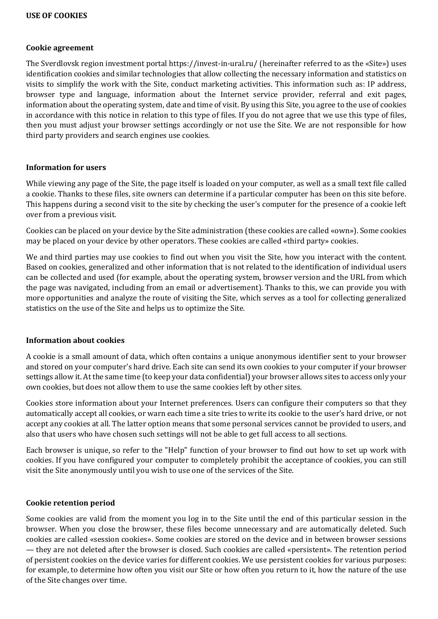#### **Cookie agreement**

The Sverdlovsk region investment portal https://invest-in-ural.ru/ (hereinafter referred to as the «Site») uses identification cookies and similar technologies that allow collecting the necessary information and statistics on visits to simplify the work with the Site, conduct marketing activities. This information such as: IP address, browser type and language, information about the Internet service provider, referral and exit pages, information about the operating system, date and time of visit. By using this Site, you agree to the use of cookies in accordance with this notice in relation to this type of files. If you do not agree that we use this type of files, then you must adjust your browser settings accordingly or not use the Site. We are not responsible for how third party providers and search engines use cookies.

#### **Information for users**

While viewing any page of the Site, the page itself is loaded on your computer, as well as a small text file called a cookie. Thanks to these files, site owners can determine if a particular computer has been on this site before. This happens during a second visit to the site by checking the user's computer for the presence of a cookie left over from a previous visit.

Cookies can be placed on your device by the Site administration (these cookies are called «own»). Some cookies may be placed on your device by other operators. These cookies are called «third party» cookies.

We and third parties may use cookies to find out when you visit the Site, how you interact with the content. Based on cookies, generalized and other information that is not related to the identification of individual users can be collected and used (for example, about the operating system, browser version and the URL from which the page was navigated, including from an email or advertisement). Thanks to this, we can provide you with more opportunities and analyze the route of visiting the Site, which serves as a tool for collecting generalized statistics on the use of the Site and helps us to optimize the Site.

#### **Information about cookies**

A cookie is a small amount of data, which often contains a unique anonymous identifier sent to your browser and stored on your computer's hard drive. Each site can send its own cookies to your computer if your browser settings allow it. At the same time (to keep your data confidential) your browser allows sites to access only your own cookies, but does not allow them to use the same cookies left by other sites.

Cookies store information about your Internet preferences. Users can configure their computers so that they automatically accept all cookies, or warn each time a site tries to write its cookie to the user's hard drive, or not accept any cookies at all. The latter option means that some personal services cannot be provided to users, and also that users who have chosen such settings will not be able to get full access to all sections.

Each browser is unique, so refer to the "Help" function of your browser to find out how to set up work with cookies. If you have configured your computer to completely prohibit the acceptance of cookies, you can still visit the Site anonymously until you wish to use one of the services of the Site.

#### **Cookie retention period**

Some cookies are valid from the moment you log in to the Site until the end of this particular session in the browser. When you close the browser, these files become unnecessary and are automatically deleted. Such cookies are called «session cookies». Some cookies are stored on the device and in between browser sessions — they are not deleted after the browser is closed. Such cookies are called «persistent». The retention period of persistent cookies on the device varies for different cookies. We use persistent cookies for various purposes: for example, to determine how often you visit our Site or how often you return to it, how the nature of the use of the Site changes over time.